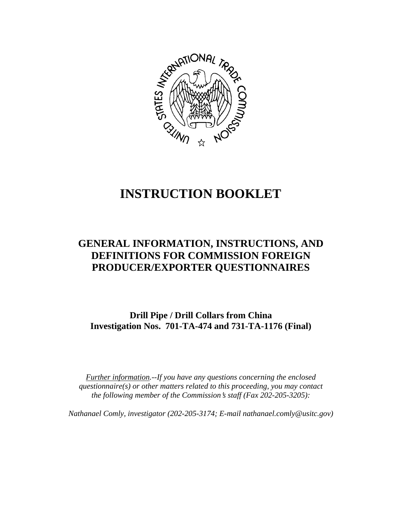

# **INSTRUCTION BOOKLET**

# **GENERAL INFORMATION, INSTRUCTIONS, AND DEFINITIONS FOR COMMISSION FOREIGN PRODUCER/EXPORTER QUESTIONNAIRES**

**Drill Pipe / Drill Collars from China Investigation Nos. 701-TA-474 and 731-TA-1176 (Final)**

*Further information.--If you have any questions concerning the enclosed questionnaire(s) or other matters related to this proceeding, you may contact the following member of the Commission*=*s staff (Fax 202-205-3205):* 

*Nathanael Comly, investigator (202-205-3174; E-mail nathanael.comly@usitc.gov)*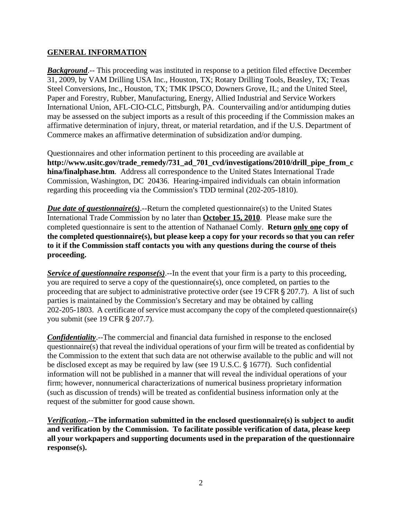## **GENERAL INFORMATION**

**Background.**-- This proceeding was instituted in response to a petition filed effective December 31, 2009, by VAM Drilling USA Inc., Houston, TX; Rotary Drilling Tools, Beasley, TX; Texas Steel Conversions, Inc., Houston, TX; TMK IPSCO, Downers Grove, IL; and the United Steel, Paper and Forestry, Rubber, Manufacturing, Energy, Allied Industrial and Service Workers International Union, AFL-CIO-CLC, Pittsburgh, PA. Countervailing and/or antidumping duties may be assessed on the subject imports as a result of this proceeding if the Commission makes an affirmative determination of injury, threat, or material retardation, and if the U.S. Department of Commerce makes an affirmative determination of subsidization and/or dumping.

Questionnaires and other information pertinent to this proceeding are available at **http://www.usitc.gov/trade\_remedy/731\_ad\_701\_cvd/investigations/2010/drill\_pipe\_from\_c hina/finalphase.htm**. Address all correspondence to the United States International Trade Commission, Washington, DC 20436. Hearing-impaired individuals can obtain information regarding this proceeding via the Commission's TDD terminal (202-205-1810).

*Due date of questionnaire(s)*.--Return the completed questionnaire(s) to the United States International Trade Commission by no later than **October 15, 2010**. Please make sure the completed questionnaire is sent to the attention of Nathanael Comly. **Return only one copy of the completed questionnaire(s), but please keep a copy for your records so that you can refer to it if the Commission staff contacts you with any questions during the course of theis proceeding.**

*Service of questionnaire response(s)*.--In the event that your firm is a party to this proceeding, you are required to serve a copy of the questionnaire(s), once completed, on parties to the proceeding that are subject to administrative protective order (see 19 CFR  $\S 207.7$ ). A list of such parties is maintained by the Commission's Secretary and may be obtained by calling 202-205-1803. A certificate of service must accompany the copy of the completed questionnaire(s) you submit (see 19 CFR § 207.7).

*Confidentiality*.--The commercial and financial data furnished in response to the enclosed questionnaire(s) that reveal the individual operations of your firm will be treated as confidential by the Commission to the extent that such data are not otherwise available to the public and will not be disclosed except as may be required by law (see 19 U.S.C. § 1677f). Such confidential information will not be published in a manner that will reveal the individual operations of your firm; however, nonnumerical characterizations of numerical business proprietary information (such as discussion of trends) will be treated as confidential business information only at the request of the submitter for good cause shown.

*Verification***.--The information submitted in the enclosed questionnaire(s) is subject to audit and verification by the Commission. To facilitate possible verification of data, please keep all your workpapers and supporting documents used in the preparation of the questionnaire response(s).**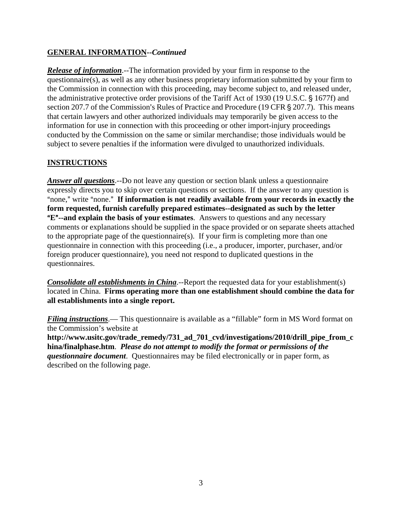# **GENERAL INFORMATION--***Continued*

*Release of information*.--The information provided by your firm in response to the questionnaire(s), as well as any other business proprietary information submitted by your firm to the Commission in connection with this proceeding, may become subject to, and released under, the administrative protective order provisions of the Tariff Act of 1930 (19 U.S.C.  $\frac{1}{2}$  1677f) and section 207.7 of the Commission's Rules of Practice and Procedure (19 CFR  $\S$  207.7). This means that certain lawyers and other authorized individuals may temporarily be given access to the information for use in connection with this proceeding or other import-injury proceedings conducted by the Commission on the same or similar merchandise; those individuals would be subject to severe penalties if the information were divulged to unauthorized individuals.

# **INSTRUCTIONS**

*Answer all questions*.--Do not leave any question or section blank unless a questionnaire expressly directs you to skip over certain questions or sections. If the answer to any question is "none," write "none." If information is not readily available from your records in exactly the **form requested, furnish carefully prepared estimates--designated as such by the letter E<sup>"</sup>--and explain the basis of your estimates**. Answers to questions and any necessary comments or explanations should be supplied in the space provided or on separate sheets attached to the appropriate page of the questionnaire(s). If your firm is completing more than one questionnaire in connection with this proceeding (i.e., a producer, importer, purchaser, and/or foreign producer questionnaire), you need not respond to duplicated questions in the questionnaires.

*Consolidate all establishments in China*.--Report the requested data for your establishment(s) located in China. **Firms operating more than one establishment should combine the data for all establishments into a single report.** 

*Filing instructions*.— This questionnaire is available as a "fillable" form in MS Word format on the Commission's website at

**http://www.usitc.gov/trade\_remedy/731\_ad\_701\_cvd/investigations/2010/drill\_pipe\_from\_c hina/finalphase.htm**. *Please do not attempt to modify the format or permissions of the questionnaire document*. Questionnaires may be filed electronically or in paper form, as described on the following page.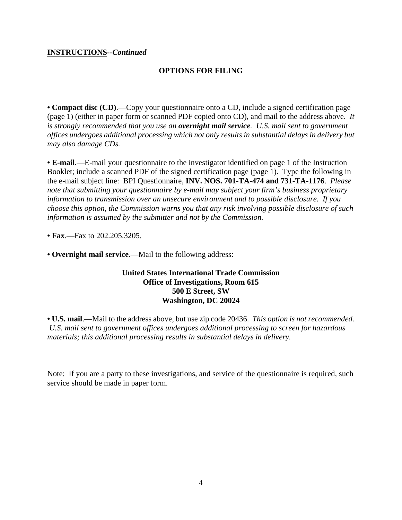#### **INSTRUCTIONS--***Continued*

## **OPTIONS FOR FILING**

**• Compact disc (CD)**.—Copy your questionnaire onto a CD, include a signed certification page (page 1) (either in paper form or scanned PDF copied onto CD), and mail to the address above. *It is strongly recommended that you use an overnight mail service. U.S. mail sent to government offices undergoes additional processing which not only results in substantial delays in delivery but may also damage CDs.* 

**• E-mail**.—E-mail your questionnaire to the investigator identified on page 1 of the Instruction Booklet; include a scanned PDF of the signed certification page (page 1). Type the following in the e-mail subject line: BPI Questionnaire, **INV. NOS. 701-TA-474 and 731-TA-1176**. *Please note that submitting your questionnaire by e-mail may subject your firm's business proprietary information to transmission over an unsecure environment and to possible disclosure. If you choose this option, the Commission warns you that any risk involving possible disclosure of such information is assumed by the submitter and not by the Commission.*

**• Fax**.—Fax to 202.205.3205.

**• Overnight mail service**.—Mail to the following address:

#### **United States International Trade Commission Office of Investigations, Room 615 500 E Street, SW Washington, DC 20024**

**• U.S. mail**.—Mail to the address above, but use zip code 20436. *This option is not recommended. U.S. mail sent to government offices undergoes additional processing to screen for hazardous materials; this additional processing results in substantial delays in delivery.* 

Note: If you are a party to these investigations, and service of the questionnaire is required, such service should be made in paper form.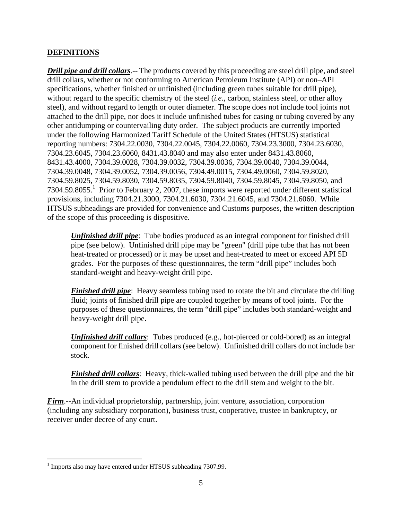# **DEFINITIONS**

*Drill pipe and drill collars*.-- The products covered by this proceeding are steel drill pipe, and steel drill collars, whether or not conforming to American Petroleum Institute (API) or non–API specifications, whether finished or unfinished (including green tubes suitable for drill pipe), without regard to the specific chemistry of the steel (*i.e.*, carbon, stainless steel, or other alloy steel), and without regard to length or outer diameter. The scope does not include tool joints not attached to the drill pipe, nor does it include unfinished tubes for casing or tubing covered by any other antidumping or countervailing duty order. The subject products are currently imported under the following Harmonized Tariff Schedule of the United States (HTSUS) statistical reporting numbers: 7304.22.0030, 7304.22.0045, 7304.22.0060, 7304.23.3000, 7304.23.6030, 7304.23.6045, 7304.23.6060, 8431.43.8040 and may also enter under 8431.43.8060, 8431.43.4000, 7304.39.0028, 7304.39.0032, 7304.39.0036, 7304.39.0040, 7304.39.0044, 7304.39.0048, 7304.39.0052, 7304.39.0056, 7304.49.0015, 7304.49.0060, 7304.59.8020, 7304.59.8025, 7304.59.8030, 7304.59.8035, 7304.59.8040, 7304.59.8045, 7304.59.8050, and 7304.59.8055.<sup>1</sup> Prior to February 2, 2007, these imports were reported under different statistical provisions, including 7304.21.3000, 7304.21.6030, 7304.21.6045, and 7304.21.6060. While HTSUS subheadings are provided for convenience and Customs purposes, the written description of the scope of this proceeding is dispositive.

*Unfinished drill pipe*: Tube bodies produced as an integral component for finished drill pipe (see below). Unfinished drill pipe may be "green" (drill pipe tube that has not been heat-treated or processed) or it may be upset and heat-treated to meet or exceed API 5D grades. For the purposes of these questionnaires, the term "drill pipe" includes both standard-weight and heavy-weight drill pipe.

*Finished drill pipe*: Heavy seamless tubing used to rotate the bit and circulate the drilling fluid; joints of finished drill pipe are coupled together by means of tool joints. For the purposes of these questionnaires, the term "drill pipe" includes both standard-weight and heavy-weight drill pipe.

*Unfinished drill collars*: Tubes produced (e.g., hot-pierced or cold-bored) as an integral component for finished drill collars (see below). Unfinished drill collars do not include bar stock.

*Finished drill collars*: Heavy, thick-walled tubing used between the drill pipe and the bit in the drill stem to provide a pendulum effect to the drill stem and weight to the bit.

*Firm*.--An individual proprietorship, partnership, joint venture, association, corporation (including any subsidiary corporation), business trust, cooperative, trustee in bankruptcy, or receiver under decree of any court.

 1 Imports also may have entered under HTSUS subheading 7307.99.